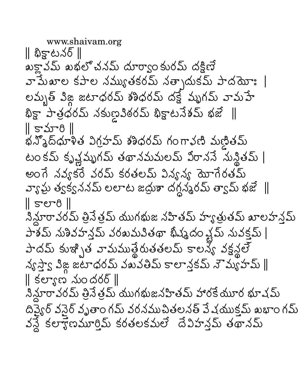www.shaivam.org || భిక్టాటనర్ || ఖక్హావమ్ ఖభలో చనమ్ దూర్యాం కురమ్ దక్షిణే వామేఖాల కపాల నమ్యుతకరమ్ నత్చాదుకమ్ పాదయోః | లమృత్ విజ్ల జటాధరమ్ శశిధరమ్ దక్షే మృగమ్ వామహే భిక్షా పాత్రధరమ్ నకుణౖవిఠరమ్ భిక్టాటనేశమ్ భజే ∥  $\parallel$  కామారి $\parallel$ భన్మోద్ధూళిత విగ్రహమ్ శశిధరమ్ గంగానణి మణితమ్ టం కమ్ కృష్ణమృగమ్ తథానమమలమ్ విరాననే సున్థితమ్ | అంగే నవ్యకరే వరమ్ కరతలమ్ విన్యవ్య యోగేరతమ్ వ్యాఘ్ర త్వక్వననమ్ లలాట జద్దుశా దగ్గన్మరమ్ త్వామ్ భజే ్||  $\parallel$  500  $\parallel$ నిన్లూరావరమ్ త్రినేత్రమ్ యుగభుజ నహితమ్ హ్యాత్రుతమ్ ఖాలహన్తమ్ పాశమ్ నుశివహన్తమ్ వరఖమవితథా ఖిష్మదం వ్లమ్ నువక్తమ్ | పాదమ్ కుఞ్భిత వామముత్థేరుతతలమ్ కాలన్య వక్షన్లలో  $\lambda\mathcal{S}$ స్తాన్ విజ్ఞ జటాధరమ్ వబవతిమ్ కాలాన్తకమ్ నౌమ్య హమ్ ||  $\parallel$  కల్యాణ నుందరర్ $\parallel$ నిన్లూరావరమ్ త్రినేత్రమ్ యుగభుజనహితమ్ హారకేయూర భూషమ్ దివ్యైర్ వసైర్ వృతాం గమ్ వరనముచితలనత్ వే షయుక్తమ్ ఖభాం గమ్ వన్దే కలాగ్గోణమూర్తిమ్ కరతలకమలే దేవిహన్లమ్ తథానమ్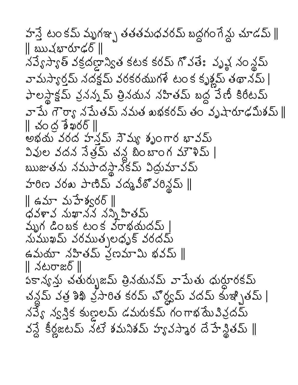హస్తే టంకమ్ మృగఞ్ప తతతమధవరమ్ బద్దగం గేన్దు చూడమ్ || || ఋషభారూఢర్ || నవ్యేస్యాత్ వక్రదణ్రాన్యిత కటక కరమ్ గొవతేః వృష్ణ నం న్థమ్ వామస్యార్తమ్ నదక్షమ్ వరకరముగళే టం క కృశ్లమ్ తథానమ్ | ఫాలస్థాక్టమ్ వ్రనన్నమ్ త్రినయన నహితమ్ బద్ధ వేణీ కిరీటమ్ వా పేు గౌర్యా న పేుతమ్ నమత ఖభకరమ్ తం వృషారూఢమీశమ్ ∥  $\parallel$  చంద్ర శేఖరర్ $\parallel$ అభయ వరద హనమ్ నౌమ్య శృంగార భావమ్ వివుల వదన నేత్రమ్ చన్ద బింబాంగ మౌళిమ్ | ఋజుతను నమపాదస్థానకమ్ విద్రుమావమ్ హరిణ వరఖ పాణిమ్ వద్మవీఠొ వరిన్డమ్ || ∥ ఉమా మహేశ్వరర్ ∥ ధవళావ నుఖానన నన్ని హితమ్ వ్బుగ డింబక టంక వరాభయదమ్  $|$ నుముఖమ్ వరముత్చలధృక్ వరదమ్ ఉమయా నహితమ్ ప్రణమామి భవమ్ || || నటరాజర్ || పకాన్యన్తు చతుర్భుజమ్ త్రినయనమ్ వామేతు ధుర్ధూరకమ్ చన్లమ్ వత్ర శిఖి వ్రసారిత కరమ్ చొర్ద్యమ్ వదమ్ కుఇ్బితమ్ | నవ్యే న్వస్తిక కుణ్ణలమ్ డమరుకమ్ గంగాభమే పివ్రదమ్ వన్దే కీర్లజటమ్ నటే శమనిశమ్ హ్యవస్మార దే హేన్డితమ్ ||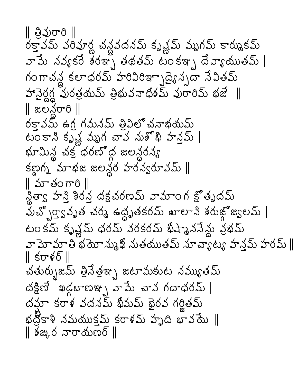|| မို့သွ်တ္ မွ || రక్తావమ్ వరివూర్ణ చన్దవదనమ్ కృష్ణమ్ మృగమ్ కార్ముకమ్ వామే నవ్యకరే శరఞ్చ తథతమ్ టంకఞ్న దేవ్యాయుతమ్ | గంగాచన్ల కలాధరమ్ హరివిరిఞ్భాద్యెన్నదా నేవితమ్ హానైర్ధగ్గ పురత్రయమ్ త్రిభువనాధిశమ్ వురారిమ్ భజే ॥ || జలనరారి || రకావమ్ ఉగ్ర గమనమ్ త్రికిలో చనాభయమ్ టం కాని కృష్ణ మృగ చావ నుశోభి హన్తమ్ | భూమిన్ల చక్ర ధరణోద్ద జలన్దరన్య కణైగ్న మాభజ జలన్థర హరన్వరూవమ్ ||  $\parallel$   $\Delta$  $\sim$  30 $\pi$ <sup>8</sup> $\parallel$ న్డిత్వా హన్తి శిరన్త దక్షచరణమ్ వామాంగ క్షోతృదమ్ పుచ్చొర్తానృత చర్మ ఉద్ధృతకరమ్ ఖాలాని శరుజ్లోజ్యలమ్ | టం కమ్ కృష్ణమ్ ధరమ్ వరకరమ్ భిష్మాననేన్లు ప్రభమ్ వా మో మా తి భ యో ను<sub>త్తి</sub> మతయుతమ్ నూ చా్ళట్య హన్లమ్ హరమ్ ∥ ∥ కరాళర్ ∥ చతుర్భుజమ్ త్రినేత్రఞ్భ జటామకుట నమ్యుతమ్ దక్షిణే ఖడ్గబాణఞ్నవామే చావ గదాధరమ్ | దమ్షా కరాళ వదనమ్ ఖీమమ్ ఖైరవ గర్హితమ్ భద్రకాళి నమయుక్షమ్ కరాళమ్ హృది భావయే ∥ ∥ శఙౖర నారాయణర్ ∥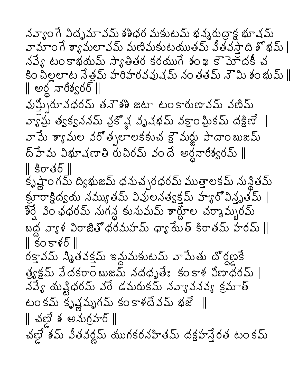నవ్యాంగే విదృమావమ్ శశిధర మకుటమ్ భన్మరుద్రాక్ట భూషమ్ వామాం గే శ్యామలావమ్ మణిమకుటయుతమ్ వీతవస్తాది శొభమ్ | నవ్యే టంకాభయమ్ స్యాతితర కరయుగే శంఖ కౌమోదకీ చ కిం చిల్లలాట నేత్రమ్ హరిహరవవుషమ్ నంతతమ్ నౌమి శంభుమ్ || ∥ అర్ధ వారీశ్వరర్ ∥ పుస్త్చిరూవధరమ్ తనౌశశి జటా టంకారుణావమ్ వణిమ్ వ్యాఘ్ర త్వక్వననమ్ వ్రకొవ్ల వృషభమ్ వక్రాం ఘ్రికమ్ దక్షిణే వామే శ్యామల వరోత్సలాలకకుచ క్షౌమర్జు పాదాంబుజమ్ ద్హేమ విభూషణాతి రుచిరమ్ వందే అర్ధనారిశ్వరమ్ || || కిరాతర్ || కృష్ణాం గమ్ ద్విభుజమ్ ధనుచ్చరధరమ్ ముత్తాలకమ్ నున్థితమ్ క్రూరాక్షిద్వయ నమ్యుతమ్ వివులనత్వక్షమ్ హ్యారోవిన్హృతమ్ | శీర్షే , పిం ఛధరమ్ నుగన్ద కునుమమ్ శార్దూల చర్మామ్భరమ్ బద్ద వ్యాళ విరాజితోధరమహమ్ ధ్యా యేత్ కిరాతమ్ హరమ్ ∥  $\parallel$  కంకాళర్  $\parallel$ రక్తావమ్ స్మితవక్తమ్ ఇన్లుమకుటమ్ వామేతు దొర్దణకే త్యక్లమ్ వేదకరాం బుజమ్ నదధృతే: కంకాళ విణాధరమ్ | నప్యే యష్టిధరమ్ వరే డమరుకమ్ నవ్యావనవ్య క్రమాత్ టం కమ్ కృష్ణమృగమ్ కం కాళదేవమ్ భజే ||  $\parallel$  చణ్ణే శ అనుగ్రహర్  $\parallel$ చణ్లే శమ్ వీతవర్లమ్ యుగకరనహితమ్ దక్షహస్తేరత టం కమ్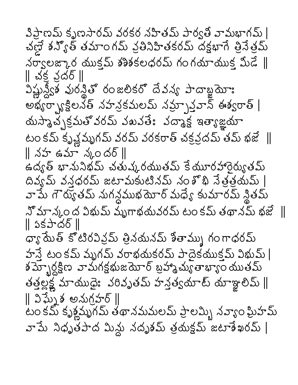పిప్టాణమ్ కృణసారమ్ వరకర నహితమ్ పార్వతీ వామభాగమ్ | చణ్ణౌ శన్యోత్ తమాంగమ్ వ్రతినిహితకరమ్ దక్షభాగే త్రినేత్రమ్  $\Delta \sigma$ ్యలజ్కార యుక్షమ్ శశిశకలధరమ్ గంగయాయుక్త మీడే  $\parallel$  $\parallel$  చక్ర స్టరర్  $\parallel$ విష్ణున్దీకి వురన్డితో రంజలికరో దేవన్య పాదాబ్జయోః అభ్యర్ప్యాక్షిలనక్ నహన్రకమలమ్ నమ్స్తాన్నా ఈశ్వరాత్ | యస్మాచ్చక్రమతో వరమ్ వఖవతే: వద్మాక్ష ఇత్యాజ్ఞయా టం కమ్ కృష్ణమృగమ్ వరమ్ వరకరాత్ చక్రవ్రదమ్ తమ్ భజే  $\parallel$ ∥ నహ ఉమా న్మందర్ ∥ ఉద్యత్ భానునిభమ్ చతుష్కరయుతమ్ కేయూరహారైర్యుతమ్ దివ్యమ్ వన్గధరమ్ జటామకుటినమ్ నంశోథి నేత్రత్రయమ్ వామే గౌర్యుతమ్ నుగన్దముభయోర్ మధ్యే కుమారమ్ న్థితమ్ నో మాన్కం ద్ర విభుమ్ మృగాభయవరమ్ టం కమ్ తథానమ్ భజే  $\parallel$ || ઽకపాదర్ || ధ్యా మేత్ కోటిరవివ్రమ్ త్రినమనమ్ శితామ్ను గంగాధరమ్ హస్తే టం కమ్ మృగమ్ వరాభయకరమ్ పాదైకయుక్తమ్ విభుమ్ | శ $\overline{\mathrm{3\bar{\upsilon}}}$ ్బర్ధక్షిణ వామగక్షభుజయోర్ బ్రహ్మాచ్యుతాభ్యాం యుతమ్ తత్తల్లక్ష్ణ మాయుధైః వరివృతమ్ హన్తత్వయాట్ యాఞ్లలిమ్ || ∥ విఘ్నేశ అనుగ్రహర్ ∥ టం కమ్ కృశ్లమృగమ్ తథానమమలమ్ ప్రాలమ్భి నవ్యాం ఘ్రిహమ్ వామే నిధృతపాద మిన్లు నదృశమ్ త్రయక్షమ్ జటాశేఖరమ్ |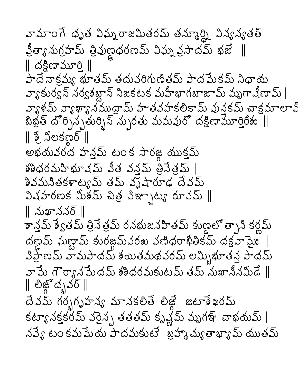వామాంగే ధృత విఘ్నరాజమితరమ్ తన్మూర్ని విన్యవ్యతత్ క్షిత్యానుగ్రహమ్ త్రివుణ్ణధరణమ్ విఘ్న క్రసాదమ్ భజే  $\parallel$  $\parallel$  దక్షిణామూరి  $\parallel$ పాదే నాక్షమ్య భూతమ్ తదువరిగుణితమ్ పాదమేకమ్ నిధాయ వ్యాకుర్వన్ నర్వశబ్దాన్ నిజకటక మహీభాగబాజామ్ మృగాషీణామ్ | వ్యాళమ్ వ్యాఖ్యానముద్రామ్ హతవహకలికామ్ వున్తకమ్ చాక్షమాలా క్ బిభ్ర్ దొర్పిన్ఫ్రతుర్బిన్ న్పురతు మమవురొ దక్షిణామూర్తి6శః ।। అభయవరద హన్తమ్ టంక సారజ్గ యుక్తమ్ శశిధరమహిభూషమ్ వీత వనమ్ తీనేతమ్ | నివమనితకళాట్యమ్ తమ్ వృషారూఢ దేవమ్ ఎచహరణక మిశమ్ చిత్ర విఞాృట్య రూవమ్ ∥ || నుఖాననర్ || శాన్త్రమ్ శ్వేతమ్ త్రినేత్రమ్ రనభుజనహితమ్ కుణ్ణలో త్భాని కర్ణమ్ దణ్ణమ్ ఘణ్ణామ్ కురజ్గమ్వరఖ వణిధరాఖితికమ్ దక్షవామై: విప్రాణమ్ వామపాదమ్ శయితమథవరమ్ లమ్బిభూతన్త పాదమ్ వా పేు గౌర్యాన పేుదమ్ శశీధరమకుటమ్ తమ్ నుఖానీనమీడే ∥ ∥ లిజ్ౖోదృవర్ ∥ దేవమ్ గర్భగృహన్య మానకలితే లిజ్గే జటాశేఖరమ్ కట్యానక్తకరమ్ వరైన్స్ తతతమ్ కృష్ణమ్ మృగళ్ చాభయమ్ | నవ్యే టం కమమేయ పాదమకుటే బ్రహ్మాచ్యుతాభ్యామ్ యుతమ్